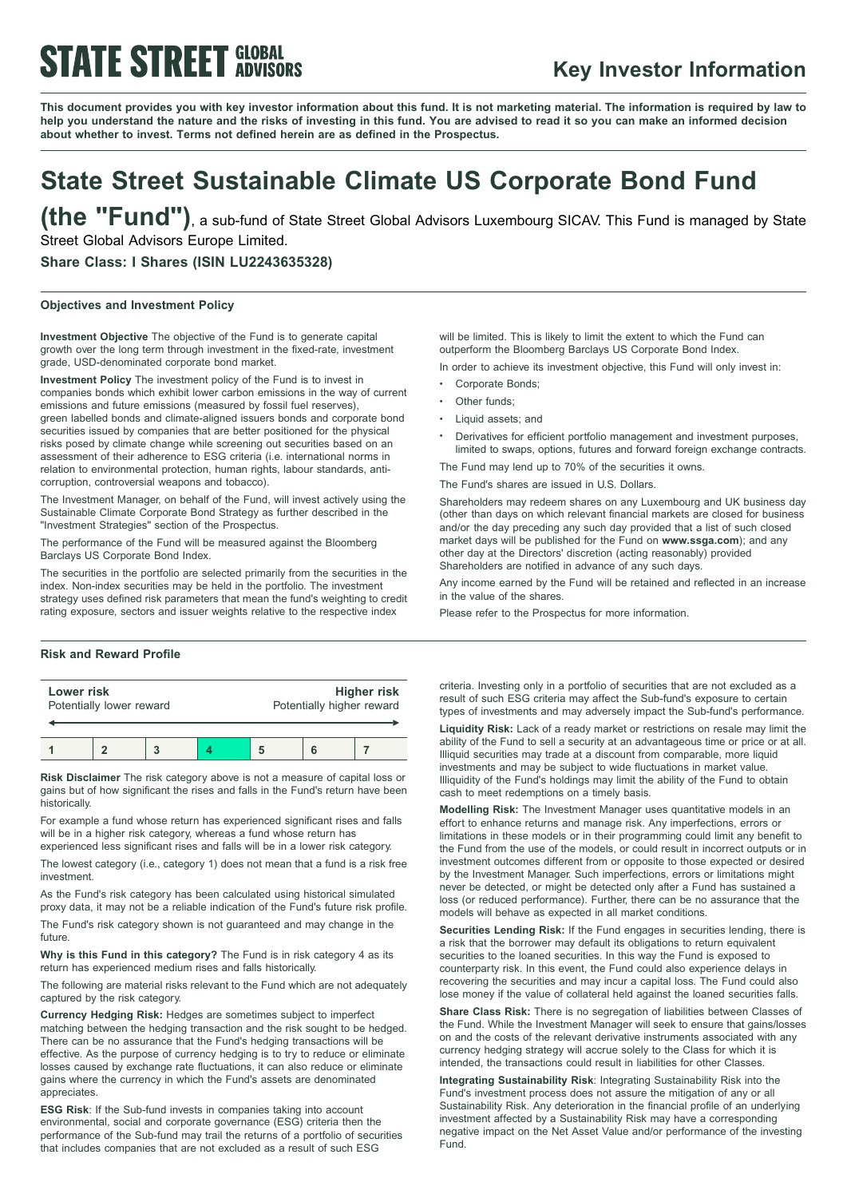# **STATE STREET GLOBAL**

### **Key Investor Information**

This document provides you with key investor information about this fund. It is not marketing material. The information is required by law to help you understand the nature and the risks of investing in this fund. You are advised to read it so you can make an informed decision **about whether to invest. Terms not defined herein are as defined in the Prospectus.**

## **State Street Sustainable Climate US Corporate Bond Fund**

**(the "Fund")**, <sup>a</sup> sub-fund of State Street Global Advisors Luxembourg SICAV. This Fund is managed by State Street Global Advisors Europe Limited.

**Share Class: I Shares (ISIN LU2243635328)**

### **Objectives and Investment Policy**

**Investment Objective** The objective of the Fund is to generate capital growth over the long term through investment in the fixed-rate, investment grade, USD-denominated corporate bond market.

**Investment Policy** The investment policy of the Fund is to invest in companies bonds which exhibit lower carbon emissions in the way of current emissions and future emissions (measured by fossil fuel reserves), green labelled bonds and climate-aligned issuers bonds and corporate bond securities issued by companies that are better positioned for the physical risks posed by climate change while screening out securities based on an assessment of their adherence to ESG criteria (i.e. international norms in relation to environmental protection, human rights, labour standards, anticorruption, controversial weapons and tobacco).

The Investment Manager, on behalf of the Fund, will invest actively using the Sustainable Climate Corporate Bond Strategy as further described in the "Investment Strategies" section of the Prospectus.

The performance of the Fund will be measured against the Bloomberg Barclays US Corporate Bond Index.

The securities in the portfolio are selected primarily from the securities in the index. Non-index securities may be held in the portfolio. The investment strategy uses defined risk parameters that mean the fund's weighting to credit rating exposure, sectors and issuer weights relative to the respective index

#### **Risk and Reward Profile**

| Lower risk               |  |  |  | <b>Higher risk</b>        |  |  |
|--------------------------|--|--|--|---------------------------|--|--|
| Potentially lower reward |  |  |  | Potentially higher reward |  |  |
|                          |  |  |  |                           |  |  |

**Risk Disclaimer** The risk category above is not a measure of capital loss or gains but of how significant the rises and falls in the Fund's return have been historically.

For example a fund whose return has experienced significant rises and falls will be in a higher risk category, whereas a fund whose return has experienced less significant rises and falls will be in a lower risk category.

The lowest category (i.e., category 1) does not mean that a fund is a risk free investment.

As the Fund's risk category has been calculated using historical simulated proxy data, it may not be a reliable indication of the Fund's future risk profile.

The Fund's risk category shown is not guaranteed and may change in the future.

**Why is this Fund in this category?** The Fund is in risk category 4 as its return has experienced medium rises and falls historically.

The following are material risks relevant to the Fund which are not adequately captured by the risk category.

**Currency Hedging Risk:** Hedges are sometimes subject to imperfect matching between the hedging transaction and the risk sought to be hedged. There can be no assurance that the Fund's hedging transactions will be effective. As the purpose of currency hedging is to try to reduce or eliminate losses caused by exchange rate fluctuations, it can also reduce or eliminate gains where the currency in which the Fund's assets are denominated appreciates.

**ESG Risk**: If the Sub-fund invests in companies taking into account environmental, social and corporate governance (ESG) criteria then the performance of the Sub-fund may trail the returns of a portfolio of securities that includes companies that are not excluded as a result of such ESG

will be limited. This is likely to limit the extent to which the Fund can outperform the Bloomberg Barclays US Corporate Bond Index.

In order to achieve its investment objective, this Fund will only invest in:

- Corporate Bonds:
- Other funds:
- Liquid assets: and
- <sup>b</sup> Derivatives for efficient portfolio management and investment purposes, limited to swaps, options, futures and forward foreign exchange contracts.

The Fund may lend up to 70% of the securities it owns.

The Fund's shares are issued in U.S. Dollars.

Shareholders may redeem shares on any Luxembourg and UK business day (other than days on which relevant financial markets are closed for business and/or the day preceding any such day provided that a list of such closed market days will be published for the Fund on **www.ssga.com**); and any other day at the Directors' discretion (acting reasonably) provided Shareholders are notified in advance of any such days.

Any income earned by the Fund will be retained and reflected in an increase in the value of the shares.

Please refer to the Prospectus for more information.

criteria. Investing only in a portfolio of securities that are not excluded as a result of such ESG criteria may affect the Sub-fund's exposure to certain types of investments and may adversely impact the Sub-fund's performance.

**Liquidity Risk:** Lack of a ready market or restrictions on resale may limit the ability of the Fund to sell a security at an advantageous time or price or at all. Illiquid securities may trade at a discount from comparable, more liquid investments and may be subject to wide fluctuations in market value. Illiquidity of the Fund's holdings may limit the ability of the Fund to obtain cash to meet redemptions on a timely basis.

**Modelling Risk:** The Investment Manager uses quantitative models in an effort to enhance returns and manage risk. Any imperfections, errors or limitations in these models or in their programming could limit any benefit to the Fund from the use of the models, or could result in incorrect outputs or in investment outcomes different from or opposite to those expected or desired by the Investment Manager. Such imperfections, errors or limitations might never be detected, or might be detected only after a Fund has sustained a loss (or reduced performance). Further, there can be no assurance that the models will behave as expected in all market conditions.

**Securities Lending Risk:** If the Fund engages in securities lending, there is a risk that the borrower may default its obligations to return equivalent securities to the loaned securities. In this way the Fund is exposed to counterparty risk. In this event, the Fund could also experience delays in recovering the securities and may incur a capital loss. The Fund could also lose money if the value of collateral held against the loaned securities falls.

**Share Class Risk:** There is no segregation of liabilities between Classes of the Fund. While the Investment Manager will seek to ensure that gains/losses on and the costs of the relevant derivative instruments associated with any currency hedging strategy will accrue solely to the Class for which it is intended, the transactions could result in liabilities for other Classes.

**Integrating Sustainability Risk**: Integrating Sustainability Risk into the Fund's investment process does not assure the mitigation of any or all Sustainability Risk. Any deterioration in the financial profile of an underlying investment affected by a Sustainability Risk may have a corresponding negative impact on the Net Asset Value and/or performance of the investing Fund.